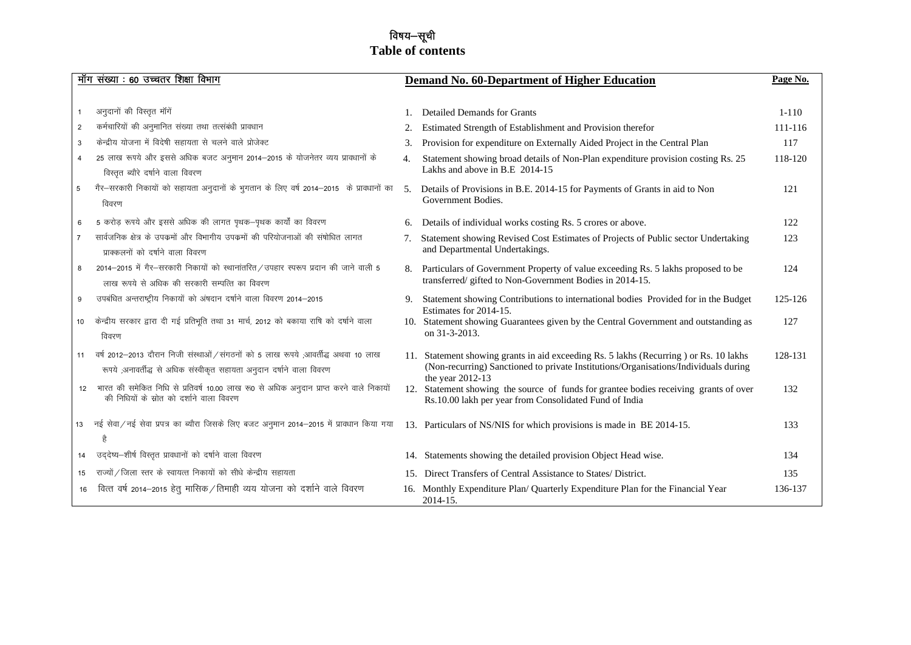# विषय—सूची **Table of contents**

|                | मॉग संख्या : 60 उच्चतर शिक्षा विभाग                                                                                                                         |                | Demand No. 60-Department of Higher Education                                                                                                                                                      | Page No.  |
|----------------|-------------------------------------------------------------------------------------------------------------------------------------------------------------|----------------|---------------------------------------------------------------------------------------------------------------------------------------------------------------------------------------------------|-----------|
|                |                                                                                                                                                             |                |                                                                                                                                                                                                   |           |
| 1              | अनुदानों की विस्तृत मॉंगें                                                                                                                                  |                | <b>Detailed Demands for Grants</b>                                                                                                                                                                | $1 - 110$ |
| $\overline{2}$ | कर्मचारियों की अनुमानित संख्या तथा तत्संबंधी प्रावधान                                                                                                       | 2.             | Estimated Strength of Establishment and Provision therefor                                                                                                                                        | 111-116   |
| 3              | केन्द्रीय योजना में विदेषी सहायता से चलने वाले प्रोजेक्ट                                                                                                    | 3.             | Provision for expenditure on Externally Aided Project in the Central Plan                                                                                                                         | 117       |
| 4              | 25 लाख रूपये और इससे अधिक बजट अनुमान 2014-2015 के योजनेतर व्यय प्रावधानों के<br>विस्तृत ब्यौरे दर्षाने वाला विवरण                                           | 4.             | Statement showing broad details of Non-Plan expenditure provision costing Rs. 25<br>Lakhs and above in B.E 2014-15                                                                                | 118-120   |
| 5 <sup>5</sup> | गैर–सरकारी निकायों को सहायता अनुदानों के भुगतान के लिए वर्ष 2014–2015 के प्रावधानों का<br>विवरण                                                             | 5 <sub>1</sub> | Details of Provisions in B.E. 2014-15 for Payments of Grants in aid to Non<br>Government Bodies.                                                                                                  | 121       |
| 6              | 5 करोड़ रूपये और इससे अधिक की लागत पृथक-पृथक कार्यों का विवरण                                                                                               | 6.             | Details of individual works costing Rs. 5 crores or above.                                                                                                                                        | 122       |
| $\overline{7}$ | सार्वजनिक क्षेत्र के उपक्रमों और विभागीय उपक्रमों की परियोजनाओं की संषोधित लागत<br>प्राक्कलनों को दर्षाने वाला विवरण                                        | 7.             | Statement showing Revised Cost Estimates of Projects of Public sector Undertaking<br>and Departmental Undertakings.                                                                               | 123       |
| 8              | 2014-2015 में गैर-सरकारी निकायों को स्थानांतरित / उपहार स्परूप प्रदान की जाने वाली 5<br>लाख रूपये से अधिक की सरकारी सम्पत्ति का विवरण                       |                | Particulars of Government Property of value exceeding Rs. 5 lakhs proposed to be<br>transferred/gifted to Non-Government Bodies in 2014-15.                                                       | 124       |
| 9              | उपबंधित अन्तराष्ट्रीय निकायों को अंषदान दर्षाने वाला विवरण 2014-2015                                                                                        | 9.             | Statement showing Contributions to international bodies Provided for in the Budget<br>Estimates for 2014-15.                                                                                      | 125-126   |
| 10             | केन्द्रीय सरकार द्वारा दी गई प्रतिभूति तथा 31 मार्च, 2012 को बकाया राषि को दर्षाने वाला<br>विवरण                                                            |                | 10. Statement showing Guarantees given by the Central Government and outstanding as<br>on 31-3-2013.                                                                                              | 127       |
| 11             | वर्ष 2012–2013 दौरान निजी संस्थाओं / संगठनों को 5 लाख रूपये ;आवर्तीद्ध अथवा 10 लाख<br>रूपये ,अनावर्तीद्ध से अधिक संस्वीकृत सहायता अनुदान दर्षाने वाला विवरण |                | 11. Statement showing grants in aid exceeding Rs. 5 lakhs (Recurring ) or Rs. 10 lakhs<br>(Non-recurring) Sanctioned to private Institutions/Organisations/Individuals during<br>the year 2012-13 | 128-131   |
| 12             | भारत की समेकित निधि से प्रतिवर्ष 10.00 लाख रू0 से अधिक अनुदान प्राप्त करने वाले निकायों<br>की निधियों के स्रोत को दर्शाने वाला विवरण                        |                | 12. Statement showing the source of funds for grantee bodies receiving grants of over<br>Rs.10.00 lakh per year from Consolidated Fund of India                                                   | 132       |
| 13             | नई सेवा/नई सेवा प्रपत्र का ब्यौरा जिसके लिए बजट अनुमान 2014–2015 में प्रावधान किया गया                                                                      |                | 13. Particulars of NS/NIS for which provisions is made in BE 2014-15.                                                                                                                             | 133       |
| 14             | उद्देष्य-शीर्ष विस्तृत प्रावधानों को दर्षाने वाला विवरण                                                                                                     |                | 14. Statements showing the detailed provision Object Head wise.                                                                                                                                   | 134       |
| 15             | राज्यों / जिला स्तर के स्वायत्त निकायों को सीधे केन्द्रीय सहायता                                                                                            |                | 15. Direct Transfers of Central Assistance to States/District.                                                                                                                                    | 135       |
| 16             | वित्त वर्ष 2014-2015 हेतु मासिक / तिमाही व्यय योजना को दर्शाने वाले विवरण                                                                                   |                | 16. Monthly Expenditure Plan/ Quarterly Expenditure Plan for the Financial Year<br>2014-15.                                                                                                       | 136-137   |